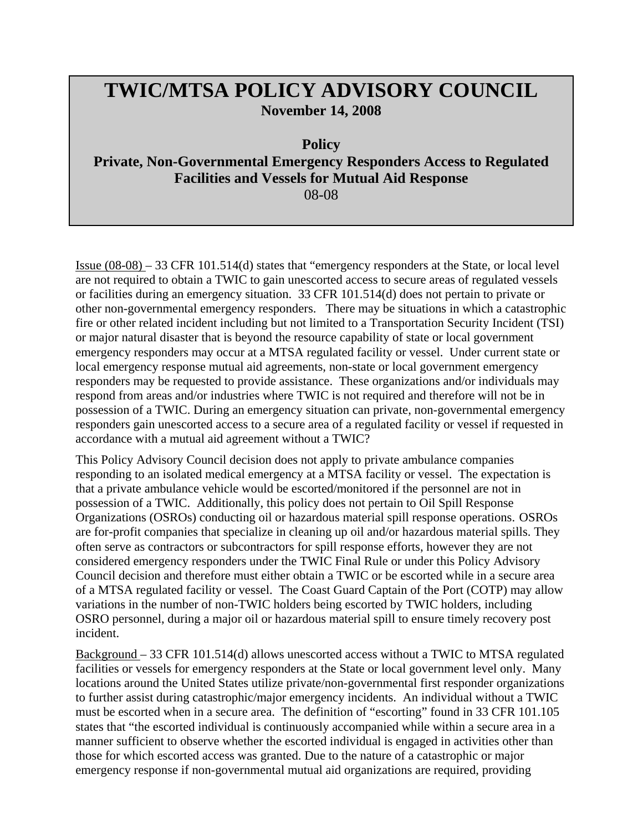## **TWIC/MTSA POLICY ADVISORY COUNCIL November 14, 2008**

**Policy** 

**Private, Non-Governmental Emergency Responders Access to Regulated Facilities and Vessels for Mutual Aid Response** 

08-08

Issue (08-08) – 33 CFR 101.514(d) states that "emergency responders at the State, or local level are not required to obtain a TWIC to gain unescorted access to secure areas of regulated vessels or facilities during an emergency situation. 33 CFR 101.514(d) does not pertain to private or other non-governmental emergency responders. There may be situations in which a catastrophic fire or other related incident including but not limited to a Transportation Security Incident (TSI) or major natural disaster that is beyond the resource capability of state or local government emergency responders may occur at a MTSA regulated facility or vessel. Under current state or local emergency response mutual aid agreements, non-state or local government emergency responders may be requested to provide assistance. These organizations and/or individuals may respond from areas and/or industries where TWIC is not required and therefore will not be in possession of a TWIC. During an emergency situation can private, non-governmental emergency responders gain unescorted access to a secure area of a regulated facility or vessel if requested in accordance with a mutual aid agreement without a TWIC?

This Policy Advisory Council decision does not apply to private ambulance companies responding to an isolated medical emergency at a MTSA facility or vessel. The expectation is that a private ambulance vehicle would be escorted/monitored if the personnel are not in possession of a TWIC. Additionally, this policy does not pertain to Oil Spill Response Organizations (OSROs) conducting oil or hazardous material spill response operations. OSROs are for-profit companies that specialize in cleaning up oil and/or hazardous material spills. They often serve as contractors or subcontractors for spill response efforts, however they are not considered emergency responders under the TWIC Final Rule or under this Policy Advisory Council decision and therefore must either obtain a TWIC or be escorted while in a secure area of a MTSA regulated facility or vessel. The Coast Guard Captain of the Port (COTP) may allow variations in the number of non-TWIC holders being escorted by TWIC holders, including OSRO personnel, during a major oil or hazardous material spill to ensure timely recovery post incident.

Background – 33 CFR 101.514(d) allows unescorted access without a TWIC to MTSA regulated facilities or vessels for emergency responders at the State or local government level only. Many locations around the United States utilize private/non-governmental first responder organizations to further assist during catastrophic/major emergency incidents. An individual without a TWIC must be escorted when in a secure area. The definition of "escorting" found in 33 CFR 101.105 states that "the escorted individual is continuously accompanied while within a secure area in a manner sufficient to observe whether the escorted individual is engaged in activities other than those for which escorted access was granted. Due to the nature of a catastrophic or major emergency response if non-governmental mutual aid organizations are required, providing